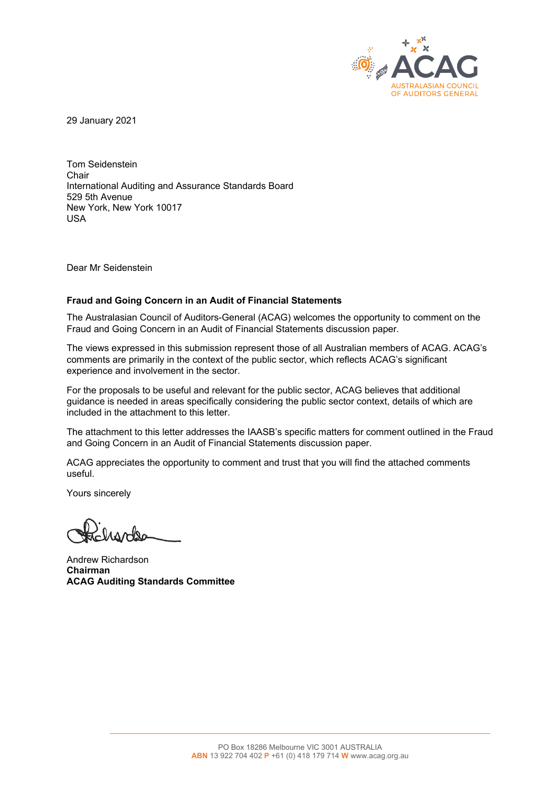

29 January 2021

Tom Seidenstein Chair International Auditing and Assurance Standards Board 529 5th Avenue New York, New York 10017 USA

Dear Mr Seidenstein

## **Fraud and Going Concern in an Audit of Financial Statements**

The Australasian Council of Auditors-General (ACAG) welcomes the opportunity to comment on the Fraud and Going Concern in an Audit of Financial Statements discussion paper.

The views expressed in this submission represent those of all Australian members of ACAG. ACAG's comments are primarily in the context of the public sector, which reflects ACAG's significant experience and involvement in the sector.

For the proposals to be useful and relevant for the public sector, ACAG believes that additional guidance is needed in areas specifically considering the public sector context, details of which are included in the attachment to this letter.

The attachment to this letter addresses the IAASB's specific matters for comment outlined in the Fraud and Going Concern in an Audit of Financial Statements discussion paper.

ACAG appreciates the opportunity to comment and trust that you will find the attached comments useful.

Yours sincerely

Andrew Richardson **Chairman ACAG Auditing Standards Committee** 

 $\mathcal{L}_\mathcal{L} = \{ \mathcal{L}_\mathcal{L} = \{ \mathcal{L}_\mathcal{L} = \{ \mathcal{L}_\mathcal{L} = \{ \mathcal{L}_\mathcal{L} = \{ \mathcal{L}_\mathcal{L} = \{ \mathcal{L}_\mathcal{L} = \{ \mathcal{L}_\mathcal{L} = \{ \mathcal{L}_\mathcal{L} = \{ \mathcal{L}_\mathcal{L} = \{ \mathcal{L}_\mathcal{L} = \{ \mathcal{L}_\mathcal{L} = \{ \mathcal{L}_\mathcal{L} = \{ \mathcal{L}_\mathcal{L} = \{ \mathcal{L}_\mathcal{$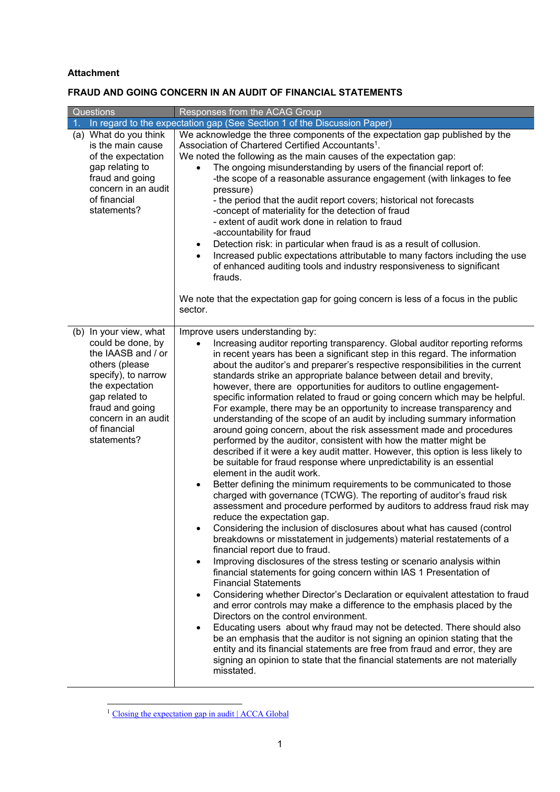## **Attachment**

## **FRAUD AND GOING CONCERN IN AN AUDIT OF FINANCIAL STATEMENTS**

| Questions                                                                                                                                                                                                                | Responses from the ACAG Group                                                                                                                                                                                                                                                                                                                                                                                                                                                                                                                                                                                                                                                                                                                                                                                                                                                                                                                                                                                                                                                                                                                                                                                                                                                                                                                                                                                                                                                                                                                                                                                                                                                                                                                                                                                                                                                                                                                                                                                                                                                                                                                                                                                             |
|--------------------------------------------------------------------------------------------------------------------------------------------------------------------------------------------------------------------------|---------------------------------------------------------------------------------------------------------------------------------------------------------------------------------------------------------------------------------------------------------------------------------------------------------------------------------------------------------------------------------------------------------------------------------------------------------------------------------------------------------------------------------------------------------------------------------------------------------------------------------------------------------------------------------------------------------------------------------------------------------------------------------------------------------------------------------------------------------------------------------------------------------------------------------------------------------------------------------------------------------------------------------------------------------------------------------------------------------------------------------------------------------------------------------------------------------------------------------------------------------------------------------------------------------------------------------------------------------------------------------------------------------------------------------------------------------------------------------------------------------------------------------------------------------------------------------------------------------------------------------------------------------------------------------------------------------------------------------------------------------------------------------------------------------------------------------------------------------------------------------------------------------------------------------------------------------------------------------------------------------------------------------------------------------------------------------------------------------------------------------------------------------------------------------------------------------------------------|
| 1 <sub>1</sub>                                                                                                                                                                                                           | In regard to the expectation gap (See Section 1 of the Discussion Paper)                                                                                                                                                                                                                                                                                                                                                                                                                                                                                                                                                                                                                                                                                                                                                                                                                                                                                                                                                                                                                                                                                                                                                                                                                                                                                                                                                                                                                                                                                                                                                                                                                                                                                                                                                                                                                                                                                                                                                                                                                                                                                                                                                  |
| (a) What do you think<br>is the main cause<br>of the expectation<br>gap relating to<br>fraud and going<br>concern in an audit<br>of financial<br>statements?                                                             | We acknowledge the three components of the expectation gap published by the<br>Association of Chartered Certified Accountants <sup>1</sup> .<br>We noted the following as the main causes of the expectation gap:<br>The ongoing misunderstanding by users of the financial report of:<br>-the scope of a reasonable assurance engagement (with linkages to fee<br>pressure)<br>- the period that the audit report covers; historical not forecasts<br>-concept of materiality for the detection of fraud<br>- extent of audit work done in relation to fraud<br>-accountability for fraud<br>Detection risk: in particular when fraud is as a result of collusion.<br>$\bullet$<br>Increased public expectations attributable to many factors including the use<br>of enhanced auditing tools and industry responsiveness to significant<br>frauds.                                                                                                                                                                                                                                                                                                                                                                                                                                                                                                                                                                                                                                                                                                                                                                                                                                                                                                                                                                                                                                                                                                                                                                                                                                                                                                                                                                      |
|                                                                                                                                                                                                                          | We note that the expectation gap for going concern is less of a focus in the public<br>sector.                                                                                                                                                                                                                                                                                                                                                                                                                                                                                                                                                                                                                                                                                                                                                                                                                                                                                                                                                                                                                                                                                                                                                                                                                                                                                                                                                                                                                                                                                                                                                                                                                                                                                                                                                                                                                                                                                                                                                                                                                                                                                                                            |
| (b) In your view, what<br>could be done, by<br>the IAASB and / or<br>others (please<br>specify), to narrow<br>the expectation<br>gap related to<br>fraud and going<br>concern in an audit<br>of financial<br>statements? | Improve users understanding by:<br>Increasing auditor reporting transparency. Global auditor reporting reforms<br>$\bullet$<br>in recent years has been a significant step in this regard. The information<br>about the auditor's and preparer's respective responsibilities in the current<br>standards strike an appropriate balance between detail and brevity,<br>however, there are opportunities for auditors to outline engagement-<br>specific information related to fraud or going concern which may be helpful.<br>For example, there may be an opportunity to increase transparency and<br>understanding of the scope of an audit by including summary information<br>around going concern, about the risk assessment made and procedures<br>performed by the auditor, consistent with how the matter might be<br>described if it were a key audit matter. However, this option is less likely to<br>be suitable for fraud response where unpredictability is an essential<br>element in the audit work.<br>Better defining the minimum requirements to be communicated to those<br>$\bullet$<br>charged with governance (TCWG). The reporting of auditor's fraud risk<br>assessment and procedure performed by auditors to address fraud risk may<br>reduce the expectation gap.<br>Considering the inclusion of disclosures about what has caused (control<br>breakdowns or misstatement in judgements) material restatements of a<br>financial report due to fraud.<br>Improving disclosures of the stress testing or scenario analysis within<br>$\bullet$<br>financial statements for going concern within IAS 1 Presentation of<br><b>Financial Statements</b><br>Considering whether Director's Declaration or equivalent attestation to fraud<br>and error controls may make a difference to the emphasis placed by the<br>Directors on the control environment.<br>Educating users about why fraud may not be detected. There should also<br>be an emphasis that the auditor is not signing an opinion stating that the<br>entity and its financial statements are free from fraud and error, they are<br>signing an opinion to state that the financial statements are not materially<br>misstated. |

<sup>&</sup>lt;sup>1</sup> Closing the expectation gap in audit | ACCA Global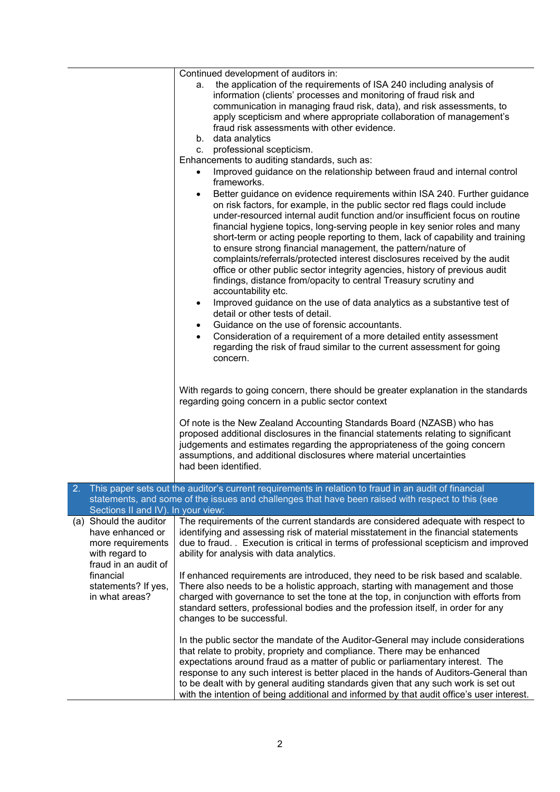|                                                                                                           | Continued development of auditors in:<br>a. the application of the requirements of ISA 240 including analysis of<br>information (clients' processes and monitoring of fraud risk and<br>communication in managing fraud risk, data), and risk assessments, to<br>apply scepticism and where appropriate collaboration of management's<br>fraud risk assessments with other evidence.<br>b. data analytics<br>c. professional scepticism.<br>Enhancements to auditing standards, such as:<br>Improved guidance on the relationship between fraud and internal control<br>frameworks.<br>Better guidance on evidence requirements within ISA 240. Further guidance<br>$\bullet$<br>on risk factors, for example, in the public sector red flags could include<br>under-resourced internal audit function and/or insufficient focus on routine<br>financial hygiene topics, long-serving people in key senior roles and many<br>short-term or acting people reporting to them, lack of capability and training<br>to ensure strong financial management, the pattern/nature of<br>complaints/referrals/protected interest disclosures received by the audit<br>office or other public sector integrity agencies, history of previous audit<br>findings, distance from/opacity to central Treasury scrutiny and<br>accountability etc.<br>Improved guidance on the use of data analytics as a substantive test of<br>$\bullet$<br>detail or other tests of detail.<br>Guidance on the use of forensic accountants.<br>$\bullet$<br>Consideration of a requirement of a more detailed entity assessment<br>$\bullet$<br>regarding the risk of fraud similar to the current assessment for going<br>concern. |
|-----------------------------------------------------------------------------------------------------------|--------------------------------------------------------------------------------------------------------------------------------------------------------------------------------------------------------------------------------------------------------------------------------------------------------------------------------------------------------------------------------------------------------------------------------------------------------------------------------------------------------------------------------------------------------------------------------------------------------------------------------------------------------------------------------------------------------------------------------------------------------------------------------------------------------------------------------------------------------------------------------------------------------------------------------------------------------------------------------------------------------------------------------------------------------------------------------------------------------------------------------------------------------------------------------------------------------------------------------------------------------------------------------------------------------------------------------------------------------------------------------------------------------------------------------------------------------------------------------------------------------------------------------------------------------------------------------------------------------------------------------------------------------------------------------------------------------|
|                                                                                                           | With regards to going concern, there should be greater explanation in the standards<br>regarding going concern in a public sector context<br>Of note is the New Zealand Accounting Standards Board (NZASB) who has<br>proposed additional disclosures in the financial statements relating to significant<br>judgements and estimates regarding the appropriateness of the going concern<br>assumptions, and additional disclosures where material uncertainties                                                                                                                                                                                                                                                                                                                                                                                                                                                                                                                                                                                                                                                                                                                                                                                                                                                                                                                                                                                                                                                                                                                                                                                                                                       |
|                                                                                                           | had been identified.                                                                                                                                                                                                                                                                                                                                                                                                                                                                                                                                                                                                                                                                                                                                                                                                                                                                                                                                                                                                                                                                                                                                                                                                                                                                                                                                                                                                                                                                                                                                                                                                                                                                                   |
| 2.<br>Sections II and IV). In your view:                                                                  | This paper sets out the auditor's current requirements in relation to fraud in an audit of financial<br>statements, and some of the issues and challenges that have been raised with respect to this (see                                                                                                                                                                                                                                                                                                                                                                                                                                                                                                                                                                                                                                                                                                                                                                                                                                                                                                                                                                                                                                                                                                                                                                                                                                                                                                                                                                                                                                                                                              |
| (a) Should the auditor<br>have enhanced or<br>more requirements<br>with regard to<br>fraud in an audit of | The requirements of the current standards are considered adequate with respect to<br>identifying and assessing risk of material misstatement in the financial statements<br>due to fraud. . Execution is critical in terms of professional scepticism and improved<br>ability for analysis with data analytics.                                                                                                                                                                                                                                                                                                                                                                                                                                                                                                                                                                                                                                                                                                                                                                                                                                                                                                                                                                                                                                                                                                                                                                                                                                                                                                                                                                                        |
| financial<br>statements? If yes,<br>in what areas?                                                        | If enhanced requirements are introduced, they need to be risk based and scalable.<br>There also needs to be a holistic approach, starting with management and those<br>charged with governance to set the tone at the top, in conjunction with efforts from<br>standard setters, professional bodies and the profession itself, in order for any<br>changes to be successful.                                                                                                                                                                                                                                                                                                                                                                                                                                                                                                                                                                                                                                                                                                                                                                                                                                                                                                                                                                                                                                                                                                                                                                                                                                                                                                                          |
|                                                                                                           | In the public sector the mandate of the Auditor-General may include considerations<br>that relate to probity, propriety and compliance. There may be enhanced<br>expectations around fraud as a matter of public or parliamentary interest. The<br>response to any such interest is better placed in the hands of Auditors-General than<br>to be dealt with by general auditing standards given that any such work is set out<br>with the intention of being additional and informed by that audit office's user interest.                                                                                                                                                                                                                                                                                                                                                                                                                                                                                                                                                                                                                                                                                                                                                                                                                                                                                                                                                                                                                                                                                                                                                                             |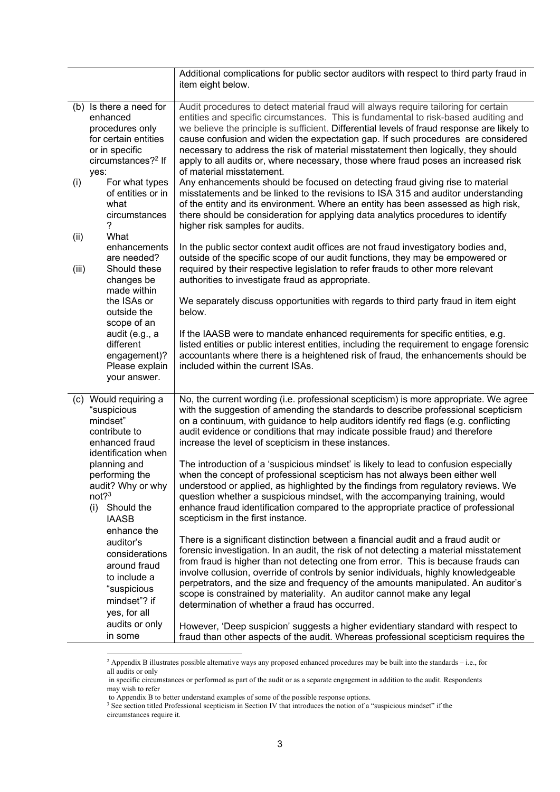|             |                                                                                                                                            | Additional complications for public sector auditors with respect to third party fraud in<br>item eight below.                                                                                                                                                                                                                                                                                                                                                                                                                                                            |
|-------------|--------------------------------------------------------------------------------------------------------------------------------------------|--------------------------------------------------------------------------------------------------------------------------------------------------------------------------------------------------------------------------------------------------------------------------------------------------------------------------------------------------------------------------------------------------------------------------------------------------------------------------------------------------------------------------------------------------------------------------|
|             | (b) Is there a need for<br>enhanced<br>procedures only<br>for certain entities<br>or in specific<br>circumstances? <sup>2</sup> If<br>yes: | Audit procedures to detect material fraud will always require tailoring for certain<br>entities and specific circumstances. This is fundamental to risk-based auditing and<br>we believe the principle is sufficient. Differential levels of fraud response are likely to<br>cause confusion and widen the expectation gap. If such procedures are considered<br>necessary to address the risk of material misstatement then logically, they should<br>apply to all audits or, where necessary, those where fraud poses an increased risk<br>of material misstatement.   |
| (i)<br>(ii) | For what types<br>of entities or in<br>what<br>circumstances<br>7<br>What                                                                  | Any enhancements should be focused on detecting fraud giving rise to material<br>misstatements and be linked to the revisions to ISA 315 and auditor understanding<br>of the entity and its environment. Where an entity has been assessed as high risk,<br>there should be consideration for applying data analytics procedures to identify<br>higher risk samples for audits.                                                                                                                                                                                          |
| (iii)       | enhancements<br>are needed?<br>Should these<br>changes be<br>made within                                                                   | In the public sector context audit offices are not fraud investigatory bodies and,<br>outside of the specific scope of our audit functions, they may be empowered or<br>required by their respective legislation to refer frauds to other more relevant<br>authorities to investigate fraud as appropriate.                                                                                                                                                                                                                                                              |
|             | the ISAs or<br>outside the<br>scope of an                                                                                                  | We separately discuss opportunities with regards to third party fraud in item eight<br>below.                                                                                                                                                                                                                                                                                                                                                                                                                                                                            |
|             | audit (e.g., a<br>different<br>engagement)?<br>Please explain<br>your answer.                                                              | If the IAASB were to mandate enhanced requirements for specific entities, e.g.<br>listed entities or public interest entities, including the requirement to engage forensic<br>accountants where there is a heightened risk of fraud, the enhancements should be<br>included within the current ISAs.                                                                                                                                                                                                                                                                    |
|             | (c) Would requiring a<br>"suspicious<br>mindset"<br>contribute to<br>enhanced fraud<br>identification when                                 | No, the current wording (i.e. professional scepticism) is more appropriate. We agree<br>with the suggestion of amending the standards to describe professional scepticism<br>on a continuum, with guidance to help auditors identify red flags (e.g. conflicting<br>audit evidence or conditions that may indicate possible fraud) and therefore<br>increase the level of scepticism in these instances.                                                                                                                                                                 |
|             | planning and<br>performing the<br>audit? Why or why<br>$not?$ <sup>3</sup><br>Should the<br>(i)<br><b>IAASB</b><br>enhance the             | The introduction of a 'suspicious mindset' is likely to lead to confusion especially<br>when the concept of professional scepticism has not always been either well<br>understood or applied, as highlighted by the findings from regulatory reviews. We<br>question whether a suspicious mindset, with the accompanying training, would<br>enhance fraud identification compared to the appropriate practice of professional<br>scepticism in the first instance.                                                                                                       |
|             | auditor's<br>considerations<br>around fraud<br>to include a<br>"suspicious<br>mindset"? if<br>yes, for all                                 | There is a significant distinction between a financial audit and a fraud audit or<br>forensic investigation. In an audit, the risk of not detecting a material misstatement<br>from fraud is higher than not detecting one from error. This is because frauds can<br>involve collusion, override of controls by senior individuals, highly knowledgeable<br>perpetrators, and the size and frequency of the amounts manipulated. An auditor's<br>scope is constrained by materiality. An auditor cannot make any legal<br>determination of whether a fraud has occurred. |
|             | audits or only<br>in some                                                                                                                  | However, 'Deep suspicion' suggests a higher evidentiary standard with respect to<br>fraud than other aspects of the audit. Whereas professional scepticism requires the                                                                                                                                                                                                                                                                                                                                                                                                  |

<sup>&</sup>lt;sup>2</sup> Appendix B illustrates possible alternative ways any proposed enhanced procedures may be built into the standards – i.e., for all audits or only

in specific circumstances or performed as part of the audit or as a separate engagement in addition to the audit. Respondents may wish to refer

to Appendix B to better understand examples of some of the possible response options.

<sup>&</sup>lt;sup>3</sup> See section titled Professional scepticism in Section IV that introduces the notion of a "suspicious mindset" if the circumstances require it.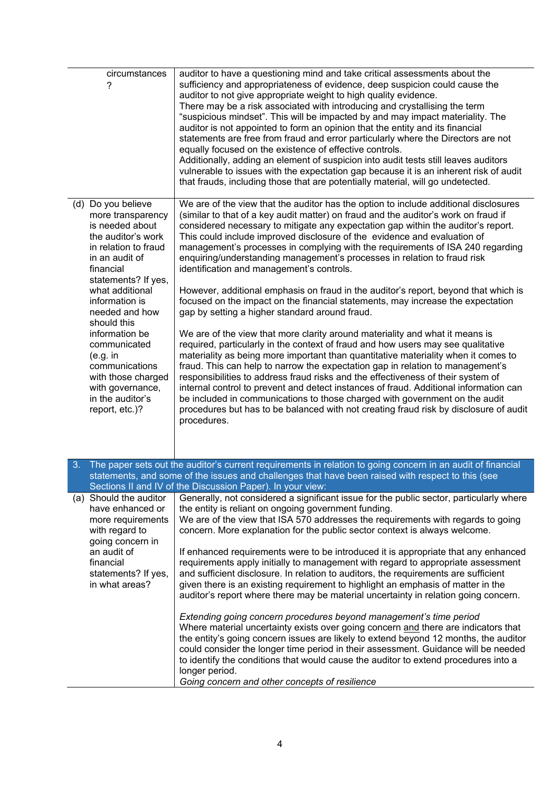| circumstances<br>7                                                                                                                                                                                                                                                                                                                                                                   | auditor to have a questioning mind and take critical assessments about the<br>sufficiency and appropriateness of evidence, deep suspicion could cause the<br>auditor to not give appropriate weight to high quality evidence.<br>There may be a risk associated with introducing and crystallising the term<br>"suspicious mindset". This will be impacted by and may impact materiality. The<br>auditor is not appointed to form an opinion that the entity and its financial<br>statements are free from fraud and error particularly where the Directors are not<br>equally focused on the existence of effective controls.<br>Additionally, adding an element of suspicion into audit tests still leaves auditors<br>vulnerable to issues with the expectation gap because it is an inherent risk of audit<br>that frauds, including those that are potentially material, will go undetected.                                                                                                                                                                                                                                                                                                                                                                                                                                                                                                                                                                                                   |
|--------------------------------------------------------------------------------------------------------------------------------------------------------------------------------------------------------------------------------------------------------------------------------------------------------------------------------------------------------------------------------------|-----------------------------------------------------------------------------------------------------------------------------------------------------------------------------------------------------------------------------------------------------------------------------------------------------------------------------------------------------------------------------------------------------------------------------------------------------------------------------------------------------------------------------------------------------------------------------------------------------------------------------------------------------------------------------------------------------------------------------------------------------------------------------------------------------------------------------------------------------------------------------------------------------------------------------------------------------------------------------------------------------------------------------------------------------------------------------------------------------------------------------------------------------------------------------------------------------------------------------------------------------------------------------------------------------------------------------------------------------------------------------------------------------------------------------------------------------------------------------------------------------|
| (d) Do you believe<br>more transparency<br>is needed about<br>the auditor's work<br>in relation to fraud<br>in an audit of<br>financial<br>statements? If yes,<br>what additional<br>information is<br>needed and how<br>should this<br>information be<br>communicated<br>(e.g. in<br>communications<br>with those charged<br>with governance,<br>in the auditor's<br>report, etc.)? | We are of the view that the auditor has the option to include additional disclosures<br>(similar to that of a key audit matter) on fraud and the auditor's work on fraud if<br>considered necessary to mitigate any expectation gap within the auditor's report.<br>This could include improved disclosure of the evidence and evaluation of<br>management's processes in complying with the requirements of ISA 240 regarding<br>enquiring/understanding management's processes in relation to fraud risk<br>identification and management's controls.<br>However, additional emphasis on fraud in the auditor's report, beyond that which is<br>focused on the impact on the financial statements, may increase the expectation<br>gap by setting a higher standard around fraud.<br>We are of the view that more clarity around materiality and what it means is<br>required, particularly in the context of fraud and how users may see qualitative<br>materiality as being more important than quantitative materiality when it comes to<br>fraud. This can help to narrow the expectation gap in relation to management's<br>responsibilities to address fraud risks and the effectiveness of their system of<br>internal control to prevent and detect instances of fraud. Additional information can<br>be included in communications to those charged with government on the audit<br>procedures but has to be balanced with not creating fraud risk by disclosure of audit<br>procedures. |
| 3.                                                                                                                                                                                                                                                                                                                                                                                   | The paper sets out the auditor's current requirements in relation to going concern in an audit of financial<br>statements, and some of the issues and challenges that have been raised with respect to this (see<br>Sections II and IV of the Discussion Paper). In your view:                                                                                                                                                                                                                                                                                                                                                                                                                                                                                                                                                                                                                                                                                                                                                                                                                                                                                                                                                                                                                                                                                                                                                                                                                      |
| (a) Should the auditor<br>have enhanced or<br>more requirements<br>with regard to<br>going concern in<br>an audit of<br>financial<br>statements? If yes,<br>in what areas?                                                                                                                                                                                                           | Generally, not considered a significant issue for the public sector, particularly where<br>the entity is reliant on ongoing government funding.<br>We are of the view that ISA 570 addresses the requirements with regards to going<br>concern. More explanation for the public sector context is always welcome.<br>If enhanced requirements were to be introduced it is appropriate that any enhanced<br>requirements apply initially to management with regard to appropriate assessment<br>and sufficient disclosure. In relation to auditors, the requirements are sufficient<br>given there is an existing requirement to highlight an emphasis of matter in the<br>auditor's report where there may be material uncertainty in relation going concern.<br>Extending going concern procedures beyond management's time period<br>Where material uncertainty exists over going concern and there are indicators that<br>the entity's going concern issues are likely to extend beyond 12 months, the auditor<br>could consider the longer time period in their assessment. Guidance will be needed<br>to identify the conditions that would cause the auditor to extend procedures into a<br>longer period.<br>Going concern and other concepts of resilience                                                                                                                                                                                                                                  |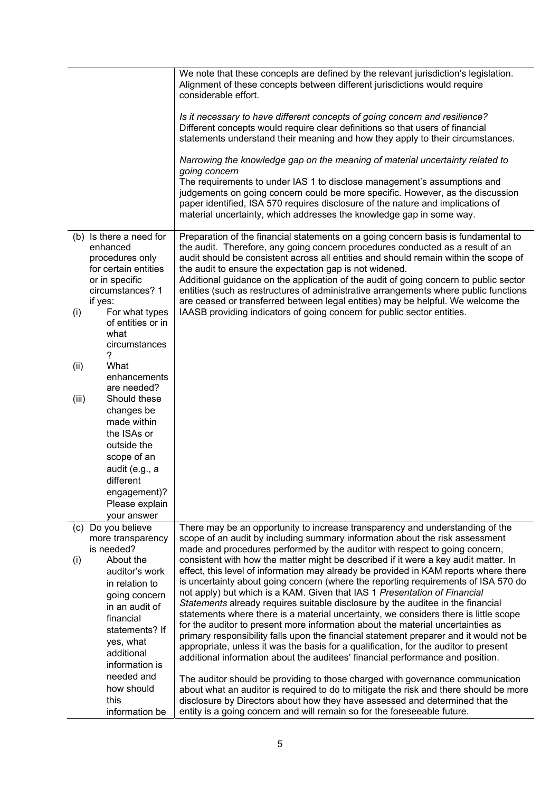|       |                                                                                                  | We note that these concepts are defined by the relevant jurisdiction's legislation.<br>Alignment of these concepts between different jurisdictions would require<br>considerable effort.                                                                                                                                                                                                                         |
|-------|--------------------------------------------------------------------------------------------------|------------------------------------------------------------------------------------------------------------------------------------------------------------------------------------------------------------------------------------------------------------------------------------------------------------------------------------------------------------------------------------------------------------------|
|       |                                                                                                  | Is it necessary to have different concepts of going concern and resilience?<br>Different concepts would require clear definitions so that users of financial<br>statements understand their meaning and how they apply to their circumstances.                                                                                                                                                                   |
|       |                                                                                                  | Narrowing the knowledge gap on the meaning of material uncertainty related to<br>going concern                                                                                                                                                                                                                                                                                                                   |
|       |                                                                                                  | The requirements to under IAS 1 to disclose management's assumptions and<br>judgements on going concern could be more specific. However, as the discussion<br>paper identified, ISA 570 requires disclosure of the nature and implications of<br>material uncertainty, which addresses the knowledge gap in some way.                                                                                            |
|       | (b) Is there a need for<br>enhanced<br>procedures only<br>for certain entities<br>or in specific | Preparation of the financial statements on a going concern basis is fundamental to<br>the audit. Therefore, any going concern procedures conducted as a result of an<br>audit should be consistent across all entities and should remain within the scope of<br>the audit to ensure the expectation gap is not widened.<br>Additional guidance on the application of the audit of going concern to public sector |
|       | circumstances? 1<br>if yes:                                                                      | entities (such as restructures of administrative arrangements where public functions<br>are ceased or transferred between legal entities) may be helpful. We welcome the<br>IAASB providing indicators of going concern for public sector entities.                                                                                                                                                              |
| (i)   | For what types<br>of entities or in<br>what                                                      |                                                                                                                                                                                                                                                                                                                                                                                                                  |
|       | circumstances<br>?                                                                               |                                                                                                                                                                                                                                                                                                                                                                                                                  |
| (ii)  | What                                                                                             |                                                                                                                                                                                                                                                                                                                                                                                                                  |
|       | enhancements                                                                                     |                                                                                                                                                                                                                                                                                                                                                                                                                  |
| (iii) | are needed?<br>Should these                                                                      |                                                                                                                                                                                                                                                                                                                                                                                                                  |
|       | changes be                                                                                       |                                                                                                                                                                                                                                                                                                                                                                                                                  |
|       | made within                                                                                      |                                                                                                                                                                                                                                                                                                                                                                                                                  |
|       | the ISAs or                                                                                      |                                                                                                                                                                                                                                                                                                                                                                                                                  |
|       | outside the                                                                                      |                                                                                                                                                                                                                                                                                                                                                                                                                  |
|       | scope of an                                                                                      |                                                                                                                                                                                                                                                                                                                                                                                                                  |
|       | audit (e.g., a<br>different                                                                      |                                                                                                                                                                                                                                                                                                                                                                                                                  |
|       | engagement)?                                                                                     |                                                                                                                                                                                                                                                                                                                                                                                                                  |
|       | Please explain                                                                                   |                                                                                                                                                                                                                                                                                                                                                                                                                  |
|       | your answer                                                                                      |                                                                                                                                                                                                                                                                                                                                                                                                                  |
|       | (c) Do you believe                                                                               | There may be an opportunity to increase transparency and understanding of the                                                                                                                                                                                                                                                                                                                                    |
|       | more transparency<br>is needed?                                                                  | scope of an audit by including summary information about the risk assessment<br>made and procedures performed by the auditor with respect to going concern,                                                                                                                                                                                                                                                      |
| (i)   | About the                                                                                        | consistent with how the matter might be described if it were a key audit matter. In                                                                                                                                                                                                                                                                                                                              |
|       | auditor's work                                                                                   | effect, this level of information may already be provided in KAM reports where there                                                                                                                                                                                                                                                                                                                             |
|       | in relation to                                                                                   | is uncertainty about going concern (where the reporting requirements of ISA 570 do                                                                                                                                                                                                                                                                                                                               |
|       | going concern                                                                                    | not apply) but which is a KAM. Given that IAS 1 Presentation of Financial                                                                                                                                                                                                                                                                                                                                        |
|       | in an audit of                                                                                   | Statements already requires suitable disclosure by the auditee in the financial<br>statements where there is a material uncertainty, we considers there is little scope                                                                                                                                                                                                                                          |
|       | financial                                                                                        | for the auditor to present more information about the material uncertainties as                                                                                                                                                                                                                                                                                                                                  |
|       | statements? If                                                                                   | primary responsibility falls upon the financial statement preparer and it would not be                                                                                                                                                                                                                                                                                                                           |
|       | yes, what<br>additional                                                                          | appropriate, unless it was the basis for a qualification, for the auditor to present                                                                                                                                                                                                                                                                                                                             |
|       | information is                                                                                   | additional information about the auditees' financial performance and position.                                                                                                                                                                                                                                                                                                                                   |
|       | needed and                                                                                       | The auditor should be providing to those charged with governance communication                                                                                                                                                                                                                                                                                                                                   |
|       | how should<br>this                                                                               | about what an auditor is required to do to mitigate the risk and there should be more<br>disclosure by Directors about how they have assessed and determined that the                                                                                                                                                                                                                                            |
|       | information be                                                                                   | entity is a going concern and will remain so for the foreseeable future.                                                                                                                                                                                                                                                                                                                                         |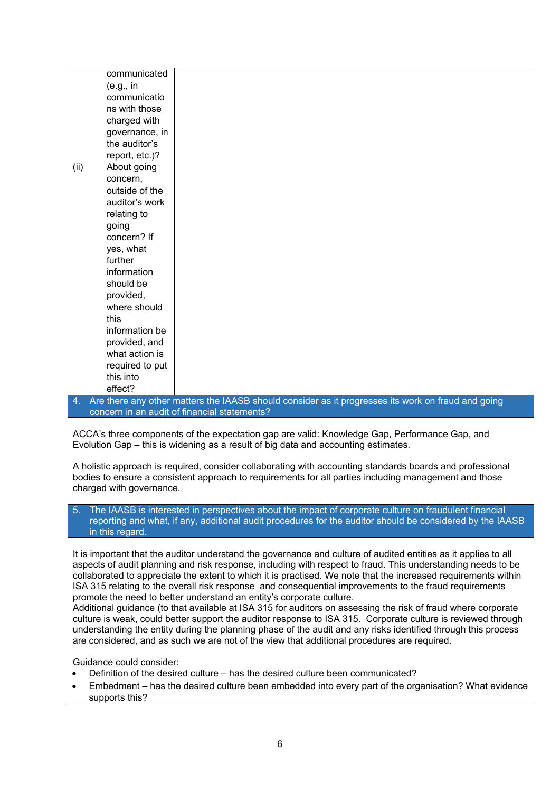|      | communicated    |                                                                                                    |
|------|-----------------|----------------------------------------------------------------------------------------------------|
|      | (e.g., in       |                                                                                                    |
|      | communicatio    |                                                                                                    |
|      | ns with those   |                                                                                                    |
|      |                 |                                                                                                    |
|      | charged with    |                                                                                                    |
|      | governance, in  |                                                                                                    |
|      | the auditor's   |                                                                                                    |
|      | report, etc.)?  |                                                                                                    |
| (ii) | About going     |                                                                                                    |
|      | concern,        |                                                                                                    |
|      | outside of the  |                                                                                                    |
|      | auditor's work  |                                                                                                    |
|      | relating to     |                                                                                                    |
|      | going           |                                                                                                    |
|      | concern? If     |                                                                                                    |
|      | yes, what       |                                                                                                    |
|      | further         |                                                                                                    |
|      | information     |                                                                                                    |
|      | should be       |                                                                                                    |
|      | provided,       |                                                                                                    |
|      | where should    |                                                                                                    |
|      | this            |                                                                                                    |
|      | information be  |                                                                                                    |
|      | provided, and   |                                                                                                    |
|      | what action is  |                                                                                                    |
|      | required to put |                                                                                                    |
|      | this into       |                                                                                                    |
|      | effect?         |                                                                                                    |
| 4    |                 | Are there any other matters the IAASB should consider as it progresses its work on fraud and going |

4. Are there any other matters the IAASB should consider as it progresses its work on fraud and going concern in an audit of financial statements?

ACCA's three components of the expectation gap are valid: Knowledge Gap, Performance Gap, and Evolution Gap – this is widening as a result of big data and accounting estimates.

A holistic approach is required, consider collaborating with accounting standards boards and professional bodies to ensure a consistent approach to requirements for all parties including management and those charged with governance.

## 5. The IAASB is interested in perspectives about the impact of corporate culture on fraudulent financial reporting and what, if any, additional audit procedures for the auditor should be considered by the IAASB in this regard.

It is important that the auditor understand the governance and culture of audited entities as it applies to all aspects of audit planning and risk response, including with respect to fraud. This understanding needs to be collaborated to appreciate the extent to which it is practised. We note that the increased requirements within ISA 315 relating to the overall risk response and consequential improvements to the fraud requirements promote the need to better understand an entity's corporate culture.

Additional guidance (to that available at ISA 315 for auditors on assessing the risk of fraud where corporate culture is weak, could better support the auditor response to ISA 315. Corporate culture is reviewed through understanding the entity during the planning phase of the audit and any risks identified through this process are considered, and as such we are not of the view that additional procedures are required.

Guidance could consider:

- Definition of the desired culture has the desired culture been communicated?
- Embedment has the desired culture been embedded into every part of the organisation? What evidence supports this?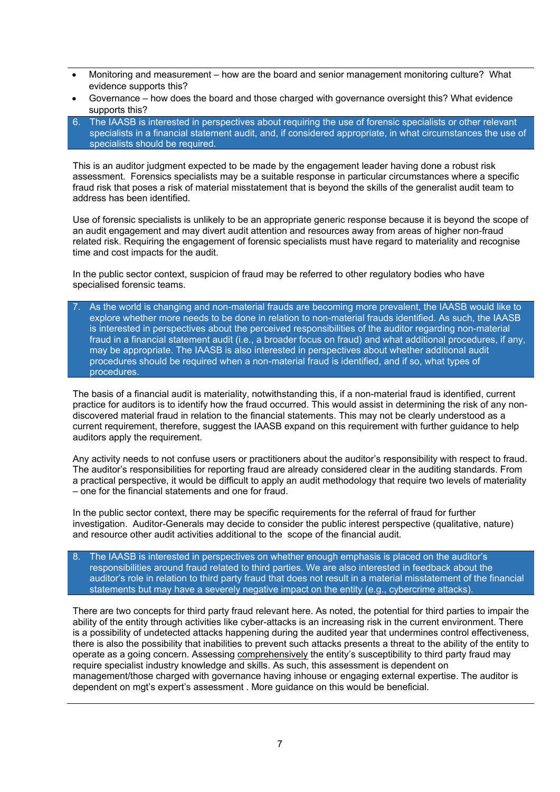- Monitoring and measurement how are the board and senior management monitoring culture? What evidence supports this?
- Governance how does the board and those charged with governance oversight this? What evidence supports this?
- 6. The IAASB is interested in perspectives about requiring the use of forensic specialists or other relevant specialists in a financial statement audit, and, if considered appropriate, in what circumstances the use of specialists should be required.

This is an auditor judgment expected to be made by the engagement leader having done a robust risk assessment. Forensics specialists may be a suitable response in particular circumstances where a specific fraud risk that poses a risk of material misstatement that is beyond the skills of the generalist audit team to address has been identified.

Use of forensic specialists is unlikely to be an appropriate generic response because it is beyond the scope of an audit engagement and may divert audit attention and resources away from areas of higher non-fraud related risk. Requiring the engagement of forensic specialists must have regard to materiality and recognise time and cost impacts for the audit.

In the public sector context, suspicion of fraud may be referred to other regulatory bodies who have specialised forensic teams.

7. As the world is changing and non-material frauds are becoming more prevalent, the IAASB would like to explore whether more needs to be done in relation to non-material frauds identified. As such, the IAASB is interested in perspectives about the perceived responsibilities of the auditor regarding non-material fraud in a financial statement audit (i.e., a broader focus on fraud) and what additional procedures, if any, may be appropriate. The IAASB is also interested in perspectives about whether additional audit procedures should be required when a non-material fraud is identified, and if so, what types of procedures.

The basis of a financial audit is materiality, notwithstanding this, if a non-material fraud is identified, current practice for auditors is to identify how the fraud occurred. This would assist in determining the risk of any nondiscovered material fraud in relation to the financial statements. This may not be clearly understood as a current requirement, therefore, suggest the IAASB expand on this requirement with further guidance to help auditors apply the requirement.

Any activity needs to not confuse users or practitioners about the auditor's responsibility with respect to fraud. The auditor's responsibilities for reporting fraud are already considered clear in the auditing standards. From a practical perspective, it would be difficult to apply an audit methodology that require two levels of materiality – one for the financial statements and one for fraud.

In the public sector context, there may be specific requirements for the referral of fraud for further investigation. Auditor-Generals may decide to consider the public interest perspective (qualitative, nature) and resource other audit activities additional to the scope of the financial audit.

8. The IAASB is interested in perspectives on whether enough emphasis is placed on the auditor's responsibilities around fraud related to third parties. We are also interested in feedback about the auditor's role in relation to third party fraud that does not result in a material misstatement of the financial statements but may have a severely negative impact on the entity (e.g., cybercrime attacks).

There are two concepts for third party fraud relevant here. As noted, the potential for third parties to impair the ability of the entity through activities like cyber-attacks is an increasing risk in the current environment. There is a possibility of undetected attacks happening during the audited year that undermines control effectiveness, there is also the possibility that inabilities to prevent such attacks presents a threat to the ability of the entity to operate as a going concern. Assessing comprehensively the entity's susceptibility to third party fraud may require specialist industry knowledge and skills. As such, this assessment is dependent on management/those charged with governance having inhouse or engaging external expertise. The auditor is dependent on mgt's expert's assessment . More guidance on this would be beneficial.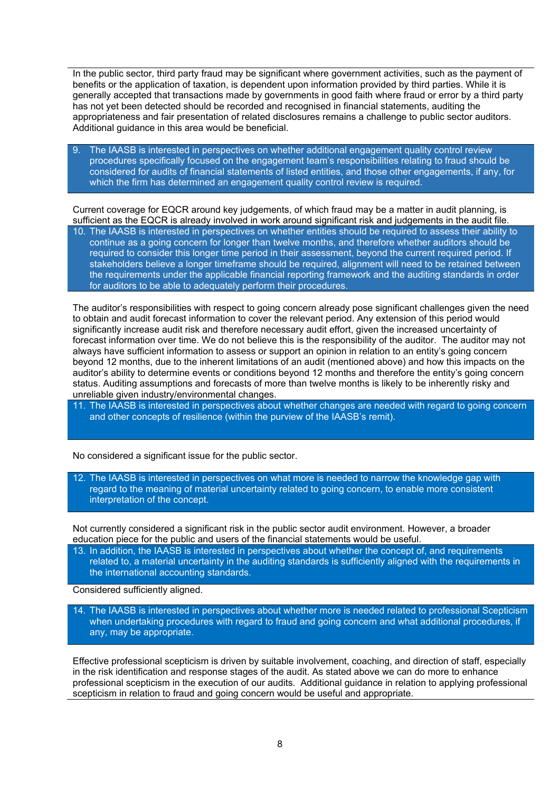In the public sector, third party fraud may be significant where government activities, such as the payment of benefits or the application of taxation, is dependent upon information provided by third parties. While it is generally accepted that transactions made by governments in good faith where fraud or error by a third party has not yet been detected should be recorded and recognised in financial statements, auditing the appropriateness and fair presentation of related disclosures remains a challenge to public sector auditors. Additional guidance in this area would be beneficial.

9. The IAASB is interested in perspectives on whether additional engagement quality control review procedures specifically focused on the engagement team's responsibilities relating to fraud should be considered for audits of financial statements of listed entities, and those other engagements, if any, for which the firm has determined an engagement quality control review is required.

Current coverage for EQCR around key judgements, of which fraud may be a matter in audit planning, is sufficient as the EQCR is already involved in work around significant risk and judgements in the audit file.

10. The IAASB is interested in perspectives on whether entities should be required to assess their ability to continue as a going concern for longer than twelve months, and therefore whether auditors should be required to consider this longer time period in their assessment, beyond the current required period. If stakeholders believe a longer timeframe should be required, alignment will need to be retained between the requirements under the applicable financial reporting framework and the auditing standards in order for auditors to be able to adequately perform their procedures.

The auditor's responsibilities with respect to going concern already pose significant challenges given the need to obtain and audit forecast information to cover the relevant period. Any extension of this period would significantly increase audit risk and therefore necessary audit effort, given the increased uncertainty of forecast information over time. We do not believe this is the responsibility of the auditor. The auditor may not always have sufficient information to assess or support an opinion in relation to an entity's going concern beyond 12 months, due to the inherent limitations of an audit (mentioned above) and how this impacts on the auditor's ability to determine events or conditions beyond 12 months and therefore the entity's going concern status. Auditing assumptions and forecasts of more than twelve months is likely to be inherently risky and unreliable given industry/environmental changes.

11. The IAASB is interested in perspectives about whether changes are needed with regard to going concern and other concepts of resilience (within the purview of the IAASB's remit).

No considered a significant issue for the public sector.

12. The IAASB is interested in perspectives on what more is needed to narrow the knowledge gap with regard to the meaning of material uncertainty related to going concern, to enable more consistent interpretation of the concept.

Not currently considered a significant risk in the public sector audit environment. However, a broader education piece for the public and users of the financial statements would be useful.

13. In addition, the IAASB is interested in perspectives about whether the concept of, and requirements related to, a material uncertainty in the auditing standards is sufficiently aligned with the requirements in the international accounting standards.

Considered sufficiently aligned.

14. The IAASB is interested in perspectives about whether more is needed related to professional Scepticism when undertaking procedures with regard to fraud and going concern and what additional procedures, if any, may be appropriate.

Effective professional scepticism is driven by suitable involvement, coaching, and direction of staff, especially in the risk identification and response stages of the audit. As stated above we can do more to enhance professional scepticism in the execution of our audits. Additional guidance in relation to applying professional scepticism in relation to fraud and going concern would be useful and appropriate.